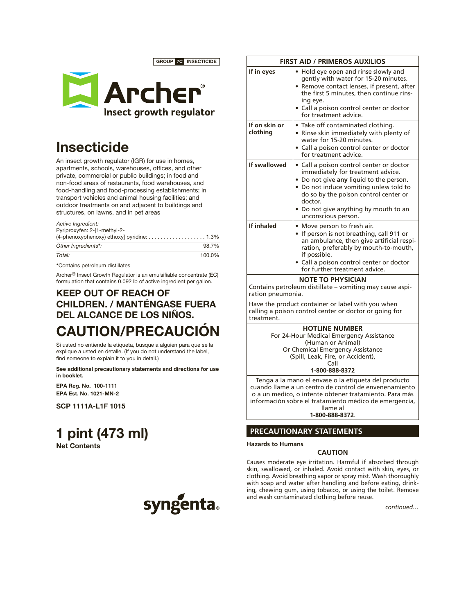GROUP 7C INSECTICIDE



## **Insecticide**

An insect growth regulator (IGR) for use in homes, apartments, schools, warehouses, offices, and other private, commercial or public buildings; in food and non-food areas of restaurants, food warehouses, and food-handling and food-processing establishments; in transport vehicles and animal housing facilities; and outdoor treatments on and adjacent to buildings and structures, on lawns, and in pet areas

*Active Ingredient:* Pyriproxyfen: 2-[1-methyl-2-

| Other Ingredients*: | 98.7%  |
|---------------------|--------|
| Total:              | 100.0% |

\*Contains petroleum distillates

Archer® Insect Growth Regulator is an emulsifiable concentrate (EC) formulation that contains 0.092 lb of active ingredient per gallon.

### KEEP OUT OF REACH OF CHILDREN. / MANTÉNGASE FUERA DEL ALCANCE DE LOS NIÑOS. CAUTION/PRECAUCIÓN

Si usted no entiende la etiqueta, busque a alguien para que se la explique a usted en detalle. (If you do not understand the label, find someone to explain it to you in detail.)

See additional precautionary statements and directions for use in booklet.

EPA Reg. No. 100-1111 EPA Est. No. 1021-MN-2

SCP 1111A-L1F 1015

# 1 pint (473 ml)

Net Contents



| Hold eye open and rinse slowly and<br>gently with water for 15-20 minutes.<br>Remove contact lenses, if present, after<br>the first 5 minutes, then continue rins-                                                                                                                      |
|-----------------------------------------------------------------------------------------------------------------------------------------------------------------------------------------------------------------------------------------------------------------------------------------|
| ing eye.<br>• Call a poison control center or doctor<br>for treatment advice.                                                                                                                                                                                                           |
| • Take off contaminated clothing.<br>• Rinse skin immediately with plenty of<br>water for 15-20 minutes.<br>Call a poison control center or doctor<br>for treatment advice.                                                                                                             |
| • Call a poison control center or doctor<br>immediately for treatment advice.<br>• Do not give any liquid to the person.<br>• Do not induce vomiting unless told to<br>do so by the poison control center or<br>doctor.<br>• Do not give anything by mouth to an<br>unconscious person. |
| • Move person to fresh air.<br>• If person is not breathing, call 911 or<br>an ambulance, then give artificial respi-<br>ration, preferably by mouth-to-mouth,<br>if possible.<br>· Call a poison control center or doctor<br>for further treatment advice.                             |
|                                                                                                                                                                                                                                                                                         |

Contains petroleum distillate – vomiting may cause aspiration pneumonia.

Have the product container or label with you when calling a poison control center or doctor or going for treatment.

### **HOTLINE NUMBER**

For 24-Hour Medical Emergency Assistance (Human or Animal) Or Chemical Emergency Assistance (Spill, Leak, Fire, or Accident),

Call

**1-800-888-8372**

Tenga a la mano el envase o la etiqueta del producto cuando llame a un centro de control de envenenamiento o a un médico, o intente obtener tratamiento. Para más información sobre el tratamiento médico de emergencia, llame al

**1-800-888-8372**.

### **PRECAUTIONARY STATEMENTS**

**Hazards to Humans**

### **CAUTION**

Causes moderate eye irritation. Harmful if absorbed through skin, swallowed, or inhaled. Avoid contact with skin, eyes, or clothing. Avoid breathing vapor or spray mist. Wash thoroughly with soap and water after handling and before eating, drinking, chewing gum, using tobacco, or using the toilet. Remove and wash contaminated clothing before reuse.

*continued…*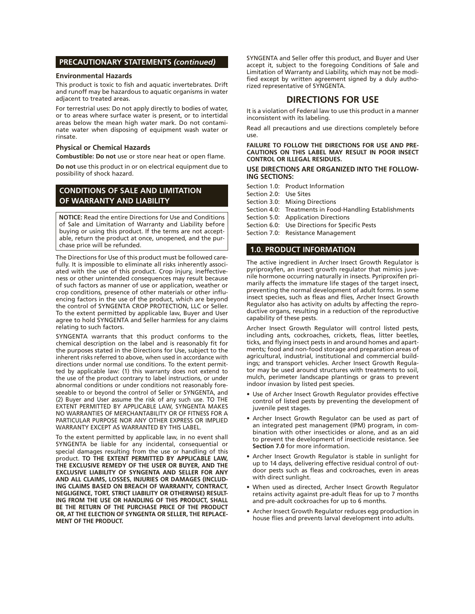### **PRECAUTIONARY STATEMENTS** *(continued)*

### **Environmental Hazards**

This product is toxic to fish and aquatic invertebrates. Drift and runoff may be hazardous to aquatic organisms in water adjacent to treated areas.

For terrestrial uses: Do not apply directly to bodies of water, or to areas where surface water is present, or to intertidal areas below the mean high water mark. Do not contaminate water when disposing of equipment wash water or rinsate.

#### **Physical or Chemical Hazards**

**Combustible: Do not** use or store near heat or open flame.

**Do not** use this product in or on electrical equipment due to possibility of shock hazard.

### **CONDITIONS OF SALE AND LIMITATION OF WARRANTY AND LIABILITY**

**NOTICE:** Read the entire Directions for Use and Conditions of Sale and Limitation of Warranty and Liability before buying or using this product. If the terms are not acceptable, return the product at once, unopened, and the purchase price will be refunded.

The Directions for Use of this product must be followed carefully. It is impossible to eliminate all risks inherently associated with the use of this product. Crop injury, ineffectiveness or other unintended consequences may result because of such factors as manner of use or application, weather or crop conditions, presence of other materials or other influencing factors in the use of the product, which are beyond the control of SYNGENTA CROP PROTECTION, LLC or Seller. To the extent permitted by applicable law, Buyer and User agree to hold SYNGENTA and Seller harmless for any claims relating to such factors.

SYNGENTA warrants that this product conforms to the chemical description on the label and is reasonably fit for the purposes stated in the Directions for Use, subject to the inherent risks referred to above, when used in accordance with directions under normal use conditions. To the extent permitted by applicable law: (1) this warranty does not extend to the use of the product contrary to label instructions, or under abnormal conditions or under conditions not reasonably foreseeable to or beyond the control of Seller or SYNGENTA, and (2) Buyer and User assume the risk of any such use. TO THE EXTENT PERMITTED BY APPLICABLE LAW, SYNGENTA MAKES NO WARRANTIES OF MERCHANTABILITY OR OF FITNESS FOR A PARTICULAR PURPOSE NOR ANY OTHER EXPRESS OR IMPLIED WARRANTY EXCEPT AS WARRANTED BY THIS LABEL.

To the extent permitted by applicable law, in no event shall SYNGENTA be liable for any incidental, consequential or special damages resulting from the use or handling of this product. **TO THE EXTENT PERMITTED BY APPLICABLE LAW, THE EXCLUSIVE REMEDY OF THE USER OR BUYER, AND THE EXCLUSIVE LIABILITY OF SYNGENTA AND SELLER FOR ANY AND ALL CLAIMS, LOSSES, INJURIES OR DAMAGES (INCLUD-ING CLAIMS BASED ON BREACH OF WARRANTY, CONTRACT, NEGLIGENCE, TORT, STRICT LIABILITY OR OTHERWISE) RESULT-ING FROM THE USE OR HANDLING OF THIS PRODUCT, SHALL BE THE RETURN OF THE PURCHASE PRICE OF THE PRODUCT OR, AT THE ELECTION OF SYNGENTA OR SELLER, THE REPLACE-MENT OF THE PRODUCT.**

SYNGENTA and Seller offer this product, and Buyer and User accept it, subject to the foregoing Conditions of Sale and Limitation of Warranty and Liability, which may not be modified except by written agreement signed by a duly authorized representative of SYNGENTA.

### **DIRECTIONS FOR USE**

It is a violation of Federal law to use this product in a manner inconsistent with its labeling.

Read all precautions and use directions completely before use.

**FAILURE TO FOLLOW THE DIRECTIONS FOR USE AND PRE-CAUTIONS ON THIS LABEL MAY RESULT IN POOR INSECT CONTROL OR ILLEGAL RESIDUES.**

**USE DIRECTIONS ARE ORGANIZED INTO THE FOLLOW-ING SECTIONS:**

Section 1.0: Product Information

Section 2.0: Use Sites

- Section 3.0: Mixing Directions
- Section 4.0: Treatments in Food-Handling Establishments

Section 5.0: Application Directions

Section 6.0: Use Directions for Specific Pests

Section 7.0: Resistance Management

### **1.0. PRODUCT INFORMATION**

The active ingredient in Archer Insect Growth Regulator is pyriproxyfen, an insect growth regulator that mimics juvenile hormone occurring naturally in insects. Pyriproxifen primarily affects the immature life stages of the target insect, preventing the normal development of adult forms. In some insect species, such as fleas and flies, Archer Insect Growth Regulator also has activity on adults by affecting the reproductive organs, resulting in a reduction of the reproductive capability of these pests.

Archer Insect Growth Regulator will control listed pests, including ants, cockroaches, crickets, fleas, litter beetles, ticks, and flying insect pests in and around homes and apartments; food and non-food storage and preparation areas of agricultural, industrial, institutional and commercial buildings; and transport vehicles. Archer Insect Growth Regulator may be used around structures with treatments to soil, mulch, perimeter landscape plantings or grass to prevent indoor invasion by listed pest species.

- Use of Archer Insect Growth Regulator provides effective control of listed pests by preventing the development of juvenile pest stages.
- Archer Insect Growth Regulator can be used as part of an integrated pest management (IPM) program, in combination with other insecticides or alone, and as an aid to prevent the development of insecticide resistance. See **Section 7.0** for more information.
- Archer Insect Growth Regulator is stable in sunlight for up to 14 days, delivering effective residual control of outdoor pests such as fleas and cockroaches, even in areas with direct sunlight.
- When used as directed, Archer Insect Growth Regulator retains activity against pre-adult fleas for up to 7 months and pre-adult cockroaches for up to 6 months.
- Archer Insect Growth Regulator reduces egg production in house flies and prevents larval development into adults.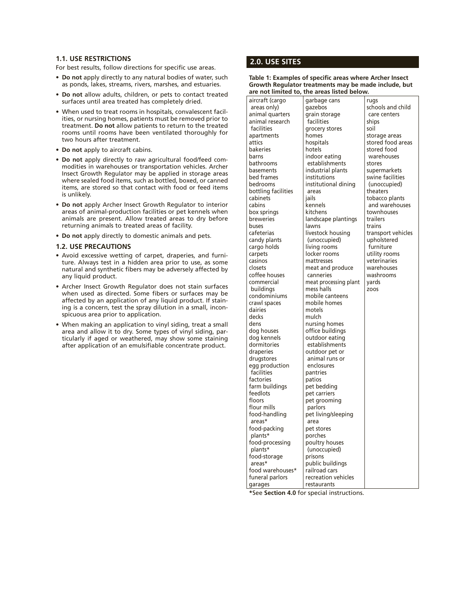### **1.1. USE RESTRICTIONS**

For best results, follow directions for specific use areas.

- **• Do not** apply directly to any natural bodies of water, such as ponds, lakes, streams, rivers, marshes, and estuaries.
- **• Do not** allow adults, children, or pets to contact treated surfaces until area treated has completely dried.
- When used to treat rooms in hospitals, convalescent facilities, or nursing homes, patients must be removed prior to treatment. **Do not** allow patients to return to the treated rooms until rooms have been ventilated thoroughly for two hours after treatment.
- **• Do not** apply to aircraft cabins.
- **• Do not** apply directly to raw agricultural food/feed commodities in warehouses or transportation vehicles. Archer Insect Growth Regulator may be applied in storage areas where sealed food items, such as bottled, boxed, or canned items, are stored so that contact with food or feed items is unlikely.
- **• Do not** apply Archer Insect Growth Regulator to interior areas of animal-production facilities or pet kennels when animals are present. Allow treated areas to dry before returning animals to treated areas of facility.
- **• Do not** apply directly to domestic animals and pets.

### **1.2. USE PRECAUTIONS**

- Avoid excessive wetting of carpet, draperies, and furniture. Always test in a hidden area prior to use, as some natural and synthetic fibers may be adversely affected by any liquid product.
- Archer Insect Growth Regulator does not stain surfaces when used as directed. Some fibers or surfaces may be affected by an application of any liquid product. If staining is a concern, test the spray dilution in a small, inconspicuous area prior to application.
- When making an application to vinyl siding, treat a small area and allow it to dry. Some types of vinyl siding, particularly if aged or weathered, may show some staining after application of an emulsifiable concentrate product.

### **2.0. USE SITES**

**Table 1: Examples of specific areas where Archer Insect Growth Regulator treatments may be made include, but are not limited to, the areas listed below.**

aircraft (cargo areas only) animal quarters animal research facilities apartments attics bakeries barns bathrooms basements bed frames bedrooms bottling facilities cabinets cabins box springs breweries buses cafeterias candy plants cargo holds carpets casinos closets coffee houses commercial buildings condominiums crawl spaces dairies decks dens dog houses dog kennels dormitories draperies drugstores egg production facilities factories farm buildings feedlots floors flour mills food-handling areas\* food-packing plants\* food-processing plants\* food-storage areas\* food warehouses\* funeral parlors garages

garbage cans gazebos grain storage facilities grocery stores homes hospitals hotels indoor eating establishments industrial plants institutions institutional dining areas jails kennels kitchens landscape plantings lawns livestock housing (unoccupied) living rooms locker rooms mattresses meat and produce canneries meat processing plant mess halls mobile canteens mobile homes motels mulch nursing homes office buildings outdoor eating establishments outdoor pet or animal runs or enclosures pantries patios pet bedding pet carriers pet grooming parlors pet living/sleeping area pet stores porches poultry houses (unoccupied) prisons public buildings railroad cars rugs

schools and child care centers ships soil storage areas stored food areas stored food warehouses stores supermarkets swine facilities (unoccupied) theaters tobacco plants and warehouses townhouses trailers trains transport vehicles upholstered furniture utility rooms veterinaries warehouses washrooms yards zoos

**\***See **Section 4.0** for special instructions.

recreation vehicles restaurants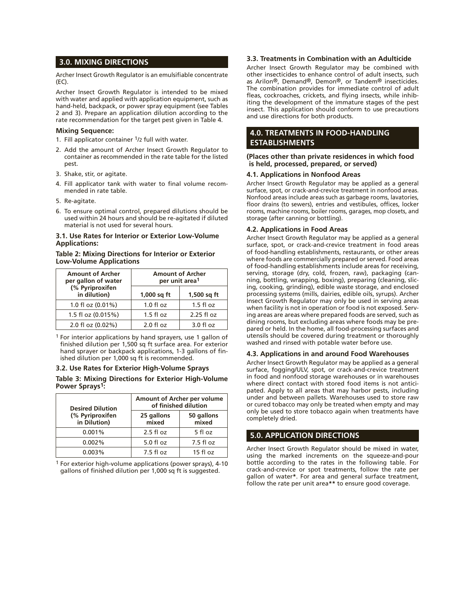### **3.0. MIXING DIRECTIONS**

Archer Insect Growth Regulator is an emulsifiable concentrate (EC).

Archer Insect Growth Regulator is intended to be mixed with water and applied with application equipment, such as hand-held, backpack, or power spray equipment (see Tables 2 and 3). Prepare an application dilution according to the rate recommendation for the target pest given in Table 4.

### **Mixing Sequence:**

- 1. Fill applicator container  $1/2$  full with water.
- 2. Add the amount of Archer Insect Growth Regulator to container as recommended in the rate table for the listed pest.
- 3. Shake, stir, or agitate.
- 4. Fill applicator tank with water to final volume recommended in rate table.
- 5. Re-agitate.
- 6. To ensure optimal control, prepared dilutions should be used within 24 hours and should be re-agitated if diluted material is not used for several hours.

### **3.1. Use Rates for Interior or Exterior Low-Volume Applications:**

### **Table 2: Mixing Directions for Interior or Exterior Low-Volume Applications**

| <b>Amount of Archer</b><br>per gallon of water | <b>Amount of Archer</b><br>per unit area <sup>1</sup> |               |
|------------------------------------------------|-------------------------------------------------------|---------------|
| (% Pyriproxifen<br>in dilution)                | $1,000$ sq ft                                         | $1,500$ sq ft |
| 1.0 fl oz (0.01%)                              | $1.0 f$ l oz                                          | $1.5$ fl oz   |
| 1.5 fl oz (0.015%)                             | $1.5$ fl oz                                           | 2.25 fl oz    |
| 2.0 fl oz (0.02%)                              | $2.0 f$ l oz                                          | $3.0 f$ l oz  |

1 For interior applications by hand sprayers, use 1 gallon of finished dilution per 1,500 sq ft surface area. For exterior hand sprayer or backpack applications, 1-3 gallons of finished dilution per 1,000 sq ft is recommended.

### **3.2. Use Rates for Exterior High-Volume Sprays**

**Table 3: Mixing Directions for Exterior High-Volume Power Sprays1:**

| <b>Desired Dilution</b>         | Amount of Archer per volume<br>of finished dilution |                     |
|---------------------------------|-----------------------------------------------------|---------------------|
| (% Pyriproxifen<br>in Dilution) | 25 gallons<br>mixed                                 | 50 gallons<br>mixed |
| 0.001%                          | $2.5$ fl oz                                         | 5 fl oz             |
| 0.002%                          | $5.0$ fl oz                                         | $7.5f$ loz          |
| 0.003%                          | $7.5f$ loz                                          | 15 fl oz            |

1 For exterior high-volume applications (power sprays), 4-10 gallons of finished dilution per 1,000 sq ft is suggested.

### **3.3. Treatments in Combination with an Adulticide**

Archer Insect Growth Regulator may be combined with other insecticides to enhance control of adult insects, such as Arilon®, Demand®, Demon®, or Tandem® insecticides. The combination provides for immediate control of adult fleas, cockroaches, crickets, and flying insects, while inhibiting the development of the immature stages of the pest insect. This application should conform to use precautions and use directions for both products.

### **4.0. TREATMENTS IN FOOD-HANDLING ESTABLISHMENTS**

#### **(Places other than private residences in which food is held, processed, prepared, or served)**

### **4.1. Applications in Nonfood Areas**

Archer Insect Growth Regulator may be applied as a general surface, spot, or crack-and-crevice treatment in nonfood areas. Nonfood areas include areas such as garbage rooms, lavatories, floor drains (to sewers), entries and vestibules, offices, locker rooms, machine rooms, boiler rooms, garages, mop closets, and storage (after canning or bottling).

### **4.2. Applications in Food Areas**

Archer Insect Growth Regulator may be applied as a general surface, spot, or crack-and-crevice treatment in food areas of food-handling establishments, restaurants, or other areas where foods are commercially prepared or served. Food areas of food-handling establishments include areas for receiving, serving, storage (dry, cold, frozen, raw), packaging (canning, bottling, wrapping, boxing), preparing (cleaning, slicing, cooking, grinding), edible waste storage, and enclosed processing systems (mills, dairies, edible oils, syrups). Archer Insect Growth Regulator may only be used in serving areas when facility is not in operation or food is not exposed. Serving areas are areas where prepared foods are served, such as dining rooms, but excluding areas where foods may be prepared or held. In the home, all food-processing surfaces and utensils should be covered during treatment or thoroughly washed and rinsed with potable water before use.

### **4.3. Applications in and around Food Warehouses**

Archer Insect Growth Regulator may be applied as a general surface, fogging/ULV, spot, or crack-and-crevice treatment in food and nonfood storage warehouses or in warehouses where direct contact with stored food items is not anticipated. Apply to all areas that may harbor pests, including under and between pallets. Warehouses used to store raw or cured tobacco may only be treated when empty and may only be used to store tobacco again when treatments have completely dried.

### **5.0. APPLICATION DIRECTIONS**

Archer Insect Growth Regulator should be mixed in water, using the marked increments on the squeeze-and-pour bottle according to the rates in the following table. For crack-and-crevice or spot treatments, follow the rate per gallon of water**\***. For area and general surface treatment, follow the rate per unit area**\*\*** to ensure good coverage.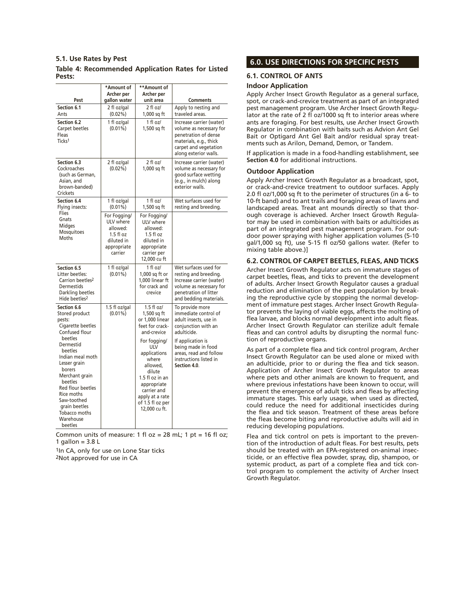### **5.1. Use Rates by Pest**

### **Table 4: Recommended Application Rates for Listed Pests:**

| Pest                                                                                                                                                                                                                          | *Amount of<br>Archer per<br>gallon water                                                    | **Amount of<br>Archer per<br>unit area                                                                                                                                             | <b>Comments</b>                                                                                                                                          |
|-------------------------------------------------------------------------------------------------------------------------------------------------------------------------------------------------------------------------------|---------------------------------------------------------------------------------------------|------------------------------------------------------------------------------------------------------------------------------------------------------------------------------------|----------------------------------------------------------------------------------------------------------------------------------------------------------|
| Section 6.1                                                                                                                                                                                                                   | 2 fl oz/gal                                                                                 | 2 fl oz/                                                                                                                                                                           | Apply to nesting and                                                                                                                                     |
| Ants                                                                                                                                                                                                                          | $(0.02\%)$                                                                                  | 1,000 sq ft                                                                                                                                                                        | traveled areas.                                                                                                                                          |
| Section 6.2<br>Carpet beetles<br>Fleas<br>Ticks <sup>1</sup>                                                                                                                                                                  | 1 fl oz/gal<br>$(0.01\%)$                                                                   | 1 fl oz/<br>1,500 sq ft                                                                                                                                                            | Increase carrier (water)<br>volume as necessary for<br>penetration of dense<br>materials, e.g., thick<br>carpet and vegetation<br>along exterior walls.  |
| Section 6.3<br>Cockroaches<br>(such as German,<br>Asian, and<br>brown-banded)<br>Crickets                                                                                                                                     | 2 fl oz/gal<br>$(0.02\%)$                                                                   | 2 fl oz/<br>1,000 sq ft                                                                                                                                                            | Increase carrier (water)<br>volume as necessary for<br>good surface wetting<br>(e.g., in mulch) along<br>exterior walls.                                 |
| Section 6.4<br>Flying insects:                                                                                                                                                                                                | 1 fl oz/gal<br>$(0.01\%)$                                                                   | 1 fl oz/<br>1,500 sq ft                                                                                                                                                            | Wet surfaces used for<br>resting and breeding.                                                                                                           |
| Flies<br>Gnats<br>Midges<br>Mosquitoes<br>Moths                                                                                                                                                                               | For Fogging/<br>ULV where<br>allowed:<br>$1.5f$ loz<br>diluted in<br>appropriate<br>carrier | For Fogging/<br>ULV where<br>allowed:<br>$1.5f$ loz<br>diluted in<br>appropriate<br>carrier per<br>12,000 cu ft                                                                    |                                                                                                                                                          |
| Section 6.5<br>Litter beetles:<br>Carrion beetles <sup>2</sup><br><b>Dermestids</b><br>Darkling beetles<br>Hide beetles <sup>2</sup>                                                                                          | 1 fl oz/gal<br>$(0.01\%)$                                                                   | 1 fl oz/<br>1,000 sq ft or<br>1.000 linear ft<br>for crack and<br>crevice                                                                                                          | Wet surfaces used for<br>resting and breeding.<br>Increase carrier (water)<br>volume as necessary for<br>penetration of litter<br>and bedding materials. |
| Section 6.6<br>Stored product<br>pests:<br>Cigarette beetles<br>Confused flour                                                                                                                                                | 1.5 fl oz/gal<br>$(0.01\%)$                                                                 | $1.5$ fl oz/<br>1,500 sq ft<br>or 1,000 linear<br>feet for crack-<br>and-crevice                                                                                                   | To provide more<br>immediate control of<br>adult insects, use in<br>conjunction with an<br>adulticide.                                                   |
| beetles<br>Dermestid<br>beetles<br>Indian meal moth<br>Lesser arain<br>borers<br>Merchant grain<br>beetles<br><b>Red flour beetles</b><br>Rice moths<br>Saw-toothed<br>grain beetles<br>Tobacco moths<br>Warehouse<br>beetles |                                                                                             | For fogging/<br><b>ULV</b><br>applications<br>where<br>allowed.<br>dilute<br>1.5 fl oz in an<br>appropriate<br>carrier and<br>apply at a rate<br>of 1.5 fl oz per<br>12,000 cu ft. | If application is<br>being made in food<br>areas, read and follow<br>instructions listed in<br>Section 4.0.                                              |

Common units of measure: 1 fl  $oz = 28$  mL; 1 pt = 16 fl oz; 1 gallon =  $3.8 L$ 

1In CA, only for use on Lone Star ticks

2Not approved for use in CA

### **6.0. USE DIRECTIONS FOR SPECIFIC PESTS**

### **6.1. CONTROL OF ANTS**

### **Indoor Application**

Apply Archer Insect Growth Regulator as a general surface, spot, or crack-and-crevice treatment as part of an integrated pest management program. Use Archer Insect Growth Regulator at the rate of 2 fl oz/1000 sq ft to interior areas where ants are foraging. For best results, use Archer Insect Growth Regulator in combination with baits such as Advion Ant Gel Bait or Optigard Ant Gel Bait and/or residual spray treatments such as Arilon, Demand, Demon, or Tandem.

If application is made in a food-handling establishment, see **Section 4.0** for additional instructions.

### **Outdoor Application**

Apply Archer Insect Growth Regulator as a broadcast, spot, or crack-and-crevice treatment to outdoor surfaces. Apply 2.0 fl oz/1,000 sq ft to the perimeter of structures (in a 6- to 10-ft band) and to ant trails and foraging areas of lawns and landscaped areas. Treat ant mounds directly so that thorough coverage is achieved. Archer Insect Growth Regulator may be used in combination with baits or adulticides as part of an integrated pest management program. For outdoor power spraying with higher application volumes (5-10 gal/1,000 sq ft), use 5-15 fl oz/50 gallons water. (Refer to mixing table above.)]

### **6.2. CONTROL OF CARPET BEETLES, FLEAS, AND TICKS**

Archer Insect Growth Regulator acts on immature stages of carpet beetles, fleas, and ticks to prevent the development of adults. Archer Insect Growth Regulator causes a gradual reduction and elimination of the pest population by breaking the reproductive cycle by stopping the normal development of immature pest stages. Archer Insect Growth Regulator prevents the laying of viable eggs, affects the molting of flea larvae, and blocks normal development into adult fleas. Archer Insect Growth Regulator can sterilize adult female fleas and can control adults by disrupting the normal function of reproductive organs.

As part of a complete flea and tick control program, Archer Insect Growth Regulator can be used alone or mixed with an adulticide, prior to or during the flea and tick season. Application of Archer Insect Growth Regulator to areas where pets and other animals are known to frequent, and where previous infestations have been known to occur, will prevent the emergence of adult ticks and fleas by affecting immature stages. This early usage, when used as directed, could reduce the need for additional insecticides during the flea and tick season. Treatment of these areas before the fleas become biting and reproductive adults will aid in reducing developing populations.

Flea and tick control on pets is important to the prevention of the introduction of adult fleas. For best results, pets should be treated with an EPA-registered on-animal insecticide, or an effective flea powder, spray, dip, shampoo, or systemic product, as part of a complete flea and tick control program to complement the activity of Archer Insect Growth Regulator.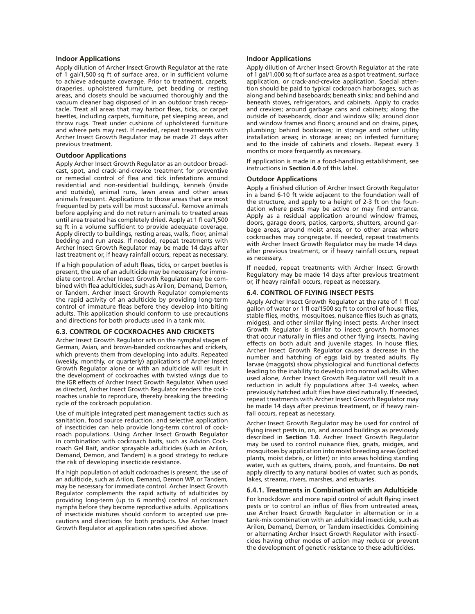#### **Indoor Applications**

Apply dilution of Archer Insect Growth Regulator at the rate of 1 gal/1,500 sq ft of surface area, or in sufficient volume to achieve adequate coverage. Prior to treatment, carpets, draperies, upholstered furniture, pet bedding or resting areas, and closets should be vacuumed thoroughly and the vacuum cleaner bag disposed of in an outdoor trash receptacle. Treat all areas that may harbor fleas, ticks, or carpet beetles, including carpets, furniture, pet sleeping areas, and throw rugs. Treat under cushions of upholstered furniture and where pets may rest. If needed, repeat treatments with Archer Insect Growth Regulator may be made 21 days after previous treatment.

### **Outdoor Applications**

Apply Archer Insect Growth Regulator as an outdoor broadcast, spot, and crack-and-crevice treatment for preventive or remedial control of flea and tick infestations around residential and non-residential buildings, kennels (inside and outside), animal runs, lawn areas and other areas animals frequent. Applications to those areas that are most frequented by pets will be most successful. Remove animals before applying and do not return animals to treated areas until area treated has completely dried. Apply at 1 fl oz/1,500 sq ft in a volume sufficient to provide adequate coverage. Apply directly to buildings, resting areas, walls, floor, animal bedding and run areas. If needed, repeat treatments with Archer Insect Growth Regulator may be made 14 days after last treatment or, if heavy rainfall occurs, repeat as necessary.

If a high population of adult fleas, ticks, or carpet beetles is present, the use of an adulticide may be necessary for immediate control. Archer Insect Growth Regulator may be combined with flea adulticides, such as Arilon, Demand, Demon, or Tandem. Archer Insect Growth Regulator complements the rapid activity of an adulticide by providing long-term control of immature fleas before they develop into biting adults. This application should conform to use precautions and directions for both products used in a tank mix.

### **6.3. CONTROL OF COCKROACHES AND CRICKETS**

Archer Insect Growth Regulator acts on the nymphal stages of German, Asian, and brown-banded cockroaches and crickets, which prevents them from developing into adults. Repeated (weekly, monthly, or quarterly) applications of Archer Insect Growth Regulator alone or with an adulticide will result in the development of cockroaches with twisted wings due to the IGR effects of Archer Insect Growth Regulator. When used as directed, Archer Insect Growth Regulator renders the cockroaches unable to reproduce, thereby breaking the breeding cycle of the cockroach population.

Use of multiple integrated pest management tactics such as sanitation, food source reduction, and selective application of insecticides can help provide long-term control of cockroach populations. Using Archer Insect Growth Regulator in combination with cockroach baits, such as Advion Cockroach Gel Bait, and/or sprayable adulticides (such as Arilon, Demand, Demon, and Tandem) is a good strategy to reduce the risk of developing insecticide resistance.

If a high population of adult cockroaches is present, the use of an adulticide, such as Arilon, Demand, Demon WP, or Tandem, may be necessary for immediate control. Archer Insect Growth Regulator complements the rapid activity of adulticides by providing long-term (up to 6 months) control of cockroach nymphs before they become reproductive adults. Applications of insecticide mixtures should conform to accepted use precautions and directions for both products. Use Archer Insect Growth Regulator at application rates specified above.

#### **Indoor Applications**

Apply dilution of Archer Insect Growth Regulator at the rate of 1 gal/1,000 sq ft of surface area as a spot treatment, surface application, or crack-and-crevice application. Special attention should be paid to typical cockroach harborages, such as along and behind baseboards; beneath sinks; and behind and beneath stoves, refrigerators, and cabinets. Apply to cracks and crevices; around garbage cans and cabinets; along the outside of baseboards, door and window sills; around door and window frames and floors; around and on drains, pipes, plumbing; behind bookcases; in storage and other utility installation areas; in storage areas; on infested furniture; and to the inside of cabinets and closets. Repeat every 3 months or more frequently as necessary.

If application is made in a food-handling establishment, see instructions in **Section 4.0** of this label.

### **Outdoor Applications**

Apply a finished dilution of Archer Insect Growth Regulator in a band 6-10 ft wide adjacent to the foundation wall of the structure, and apply to a height of 2-3 ft on the foundation where pests may be active or may find entrance. Apply as a residual application around window frames, doors, garage doors, patios, carports, shutters, around garbage areas, around moist areas, or to other areas where cockroaches may congregate. If needed, repeat treatments with Archer Insect Growth Regulator may be made 14 days after previous treatment, or if heavy rainfall occurs, repeat as necessary.

If needed, repeat treatments with Archer Insect Growth Regulatory may be made 14 days after previous treatment or, if heavy rainfall occurs, repeat as necessary.

### **6.4. CONTROL OF FLYING INSECT PESTS**

Apply Archer Insect Growth Regulator at the rate of 1 fl oz/ gallon of water or 1 fl oz/1500 sq ft to control of house flies, stable flies, moths, mosquitoes, nuisance flies (such as gnats, midges), and other similar flying insect pests. Archer Insect Growth Regulator is similar to insect growth hormones that occur naturally in flies and other flying insects, having effects on both adult and juvenile stages. In house flies, Archer Insect Growth Regulator causes a decrease in the number and hatching of eggs laid by treated adults. Fly larvae (maggots) show physiological and functional defects leading to the inability to develop into normal adults. When used alone, Archer Insect Growth Regulator will result in a reduction in adult fly populations after 3-4 weeks, when previously hatched adult flies have died naturally. If needed, repeat treatments with Archer Insect Growth Regulator may be made 14 days after previous treatment, or if heavy rainfall occurs, repeat as necessary.

Archer Insect Growth Regulator may be used for control of flying insect pests in, on, and around buildings as previously described in **Section 1.0**. Archer Insect Growth Regulator may be used to control nuisance flies, gnats, midges, and mosquitoes by application into moist breeding areas (potted plants, moist debris, or litter) or into areas holding standing water, such as gutters, drains, pools, and fountains. **Do not** apply directly to any natural bodies of water, such as ponds, lakes, streams, rivers, marshes, and estuaries.

#### **6.4.1. Treatments in Combination with an Adulticide**

For knockdown and more rapid control of adult flying insect pests or to control an influx of flies from untreated areas, use Archer Insect Growth Regulator in alternation or in a tank-mix combination with an adulticidal insecticide, such as Arilon, Demand, Demon, or Tandem insecticides. Combining or alternating Archer Insect Growth Regulator with insecticides having other modes of action may reduce or prevent the development of genetic resistance to these adulticides.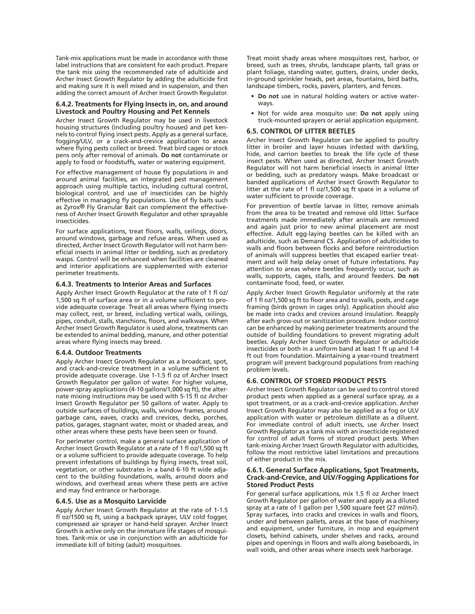Tank-mix applications must be made in accordance with those label instructions that are consistent for each product. Prepare the tank mix using the recommended rate of adulticide and Archer Insect Growth Regulator by adding the adulticide first and making sure it is well mixed and in suspension, and then adding the correct amount of Archer Insect Growth Regulator.

### **6.4.2. Treatments for Flying Insects in, on, and around Livestock and Poultry Housing and Pet Kennels**

Archer Insect Growth Regulator may be used in livestock housing structures (including poultry houses) and pet kennels to control flying insect pests. Apply as a general surface, fogging/ULV, or a crack-and-crevice application to areas where flying pests collect or breed. Treat bird cages or stock pens only after removal of animals. **Do not** contaminate or apply to food or foodstuffs, water or watering equipment.

For effective management of house fly populations in and around animal facilities, an integrated pest management approach using multiple tactics, including cultural control, biological control, and use of insecticides can be highly effective in managing fly populations. Use of fly baits such as Zyrox® Fly Granular Bait can complement the effectiveness of Archer Insect Growth Regulator and other sprayable insecticides.

For surface applications, treat floors, walls, ceilings, doors, around windows, garbage and refuse areas. When used as directed, Archer Insect Growth Regulator will not harm beneficial insects in animal Iitter or bedding, such as predatory wasps. Control will be enhanced when facilities are cleaned and interior applications are supplemented with exterior perimeter treatments.

### **6.4.3. Treatments to Interior Areas and Surfaces**

Apply Archer Insect Growth Regulator at the rate of 1 fl oz/ 1,500 sq ft of surface area or in a volume sufficient to provide adequate coverage. Treat all areas where flying insects may collect, rest, or breed, including vertical walls, ceilings, pipes, conduit, stalls, stanchions, floors, and walkways. When Archer Insect Growth Regulator is used alone, treatments can be extended to animal bedding, manure, and other potential areas where flying insects may breed.

#### **6.4.4. Outdoor Treatments**

Apply Archer Insect Growth Regulator as a broadcast, spot, and crack-and-crevice treatment in a volume sufficient to provide adequate coverage. Use 1-1.5 fl oz of Archer Insect Growth Regulator per gallon of water. For higher volume, power-spray applications (4-10 gallons/1,000 sq ft), the alternate mixing instructions may be used with 5-15 fl oz Archer Insect Growth Regulator per 50 gallons of water. Apply to outside surfaces of buildings, walls, window frames, around garbage cans, eaves, cracks and crevices, decks, porches, patios, garages, stagnant water, moist or shaded areas, and other areas where these pests have been seen or found.

For perimeter control, make a general surface application of Archer Insect Growth Regulator at a rate of 1 fl oz/1,500 sq ft or a volume sufficient to provide adequate coverage. To help prevent infestations of buildings by flying insects, treat soil, vegetation, or other substrates in a band 6-10 ft wide adjacent to the building foundations, walls, around doors and windows, and overhead areas where these pests are active and may find entrance or harborage.

### **6.4.5. Use as a Mosquito Larvicide**

Apply Archer Insect Growth Regulator at the rate of 1-1.5 fl oz/1500 sq ft, using a backpack sprayer, ULV cold fogger, compressed air sprayer or hand-held sprayer. Archer Insect Growth is active only on the immature life stages of mosquitoes. Tank-mix or use in conjunction with an adulticide for immediate kill of biting (adult) mosquitoes.

Treat moist shady areas where mosquitoes rest, harbor, or breed, such as trees, shrubs, landscape plants, tall grass or plant foliage, standing water, gutters, drains, under decks, in-ground sprinkler heads, pet areas, fountains, bird baths, landscape timbers, rocks, pavers, planters, and fences.

- **• Do not** use in natural holding waters or active waterways.
- • Not for wide area mosquito use: **Do not** apply using truck-mounted sprayers or aerial application equipment.

### **6.5. CONTROL OF LITTER BEETLES**

Archer Insect Growth Regulator can be applied to poultry litter in broiler and layer houses infested with darkling, hide, and carrion beetles to break the life cycle of these insect pests. When used as directed, Archer Insect Growth Regulator will not harm beneficial insects in animal litter or bedding, such as predatory wasps. Make broadcast or banded applications of Archer Insect Growth Regulator to litter at the rate of 1 fl oz/1,500 sq ft space in a volume of water sufficient to provide coverage.

For prevention of beetle larvae in litter, remove animals from the area to be treated and remove old litter. Surface treatments made immediately after animals are removed and again just prior to new animal placement are most effective. Adult egg-laying beetles can be killed with an adulticide, such as Demand CS. Application of adulticides to walls and floors between flocks and before reintroduction of animals will suppress beetles that escaped earlier treatment and will help delay onset of future infestations. Pay attention to areas where beetles frequently occur, such as walls, supports, cages, stalls, and around feeders. **Do not** contaminate food, feed, or water.

Apply Archer Insect Growth Regulator uniformly at the rate of 1 fl oz/1,500 sq ft to floor area and to walls, posts, and cage framing (birds grown in cages only). Application should also be made into cracks and crevices around insulation. Reapply after each grow-out or sanitization procedure. Indoor control can be enhanced by making perimeter treatments around the outside of building foundations to prevent migrating adult beetles. Apply Archer Insect Growth Regulator or adulticide insecticides or both in a uniform band at least 1 ft up and 1-4 ft out from foundation. Maintaining a year-round treatment program will prevent background populations from reaching problem levels.

#### **6.6. CONTROL OF STORED PRODUCT PESTS**

Archer Insect Growth Regulator can be used to control stored product pests when applied as a general surface spray, as a spot treatment, or as a crack-and-crevice application. Archer Insect Growth Regulator may also be applied as a fog or ULV application with water or petroleum distillate as a diluent. For immediate control of adult insects, use Archer Insect Growth Regulator as a tank mix with an insecticide registered for control of adult forms of stored product pests. When tank-mixing Archer Insect Growth Regulator with adulticides, follow the most restrictive label limitations and precautions of either product in the mix.

#### **6.6.1. General Surface Applications, Spot Treatments, Crack-and-Crevice, and ULV/Fogging Applications for Stored Product Pests**

For general surface applications, mix 1.5 fl oz Archer Insect Growth Regulator per gallon of water and apply as a diluted spray at a rate of 1 gallon per 1,500 square feet (27 ml/m2). Spray surfaces, into cracks and crevices in walls and floors, under and between pallets, areas at the base of machinery and equipment, under furniture, in mop and equipment closets, behind cabinets, under shelves and racks, around pipes and openings in floors and walls along baseboards, in wall voids, and other areas where insects seek harborage.